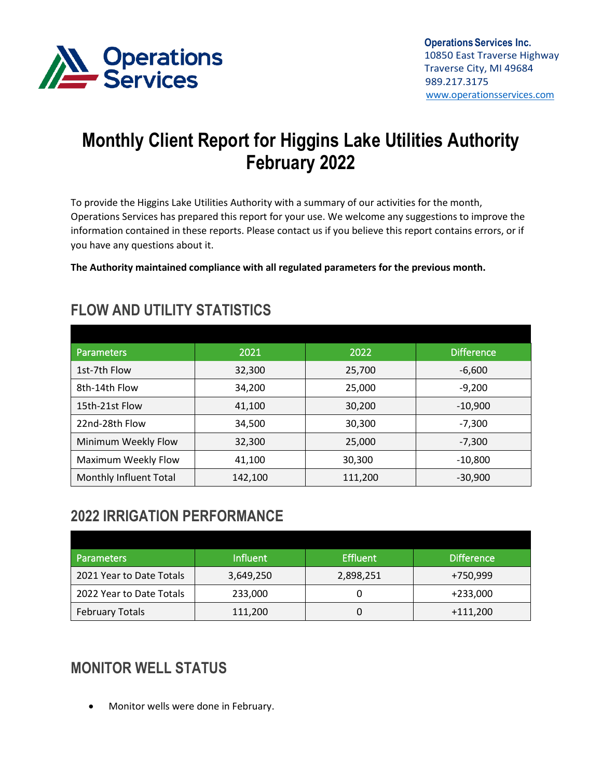

# **Monthly Client Report for Higgins Lake Utilities Authority February 2022**

To provide the Higgins Lake Utilities Authority with a summary of our activities for the month, Operations Services has prepared this report for your use. We welcome any suggestions to improve the information contained in these reports. Please contact us if you believe this report contains errors, or if you have any questions about it.

**The Authority maintained compliance with all regulated parameters for the previous month.**

| <b>Parameters</b>      | 2021    | 2022    | <b>Difference</b> |
|------------------------|---------|---------|-------------------|
| 1st-7th Flow           | 32,300  | 25,700  | $-6,600$          |
| 8th-14th Flow          | 34,200  | 25,000  | $-9,200$          |
| 15th-21st Flow         | 41,100  | 30,200  | $-10,900$         |
| 22nd-28th Flow         | 34,500  | 30,300  | $-7,300$          |
| Minimum Weekly Flow    | 32,300  | 25,000  | $-7,300$          |
| Maximum Weekly Flow    | 41,100  | 30,300  | $-10,800$         |
| Monthly Influent Total | 142,100 | 111,200 | $-30,900$         |

#### **FLOW AND UTILITY STATISTICS**

## **2022 IRRIGATION PERFORMANCE**

| <b>Parameters</b>        | <b>Influent</b> | <b>Effluent</b> | <b>Difference</b> |
|--------------------------|-----------------|-----------------|-------------------|
| 2021 Year to Date Totals | 3,649,250       | 2,898,251       | +750,999          |
| 2022 Year to Date Totals | 233,000         |                 | $+233,000$        |
| <b>February Totals</b>   | 111,200         |                 | $+111,200$        |

# **MONITOR WELL STATUS**

• Monitor wells were done in February.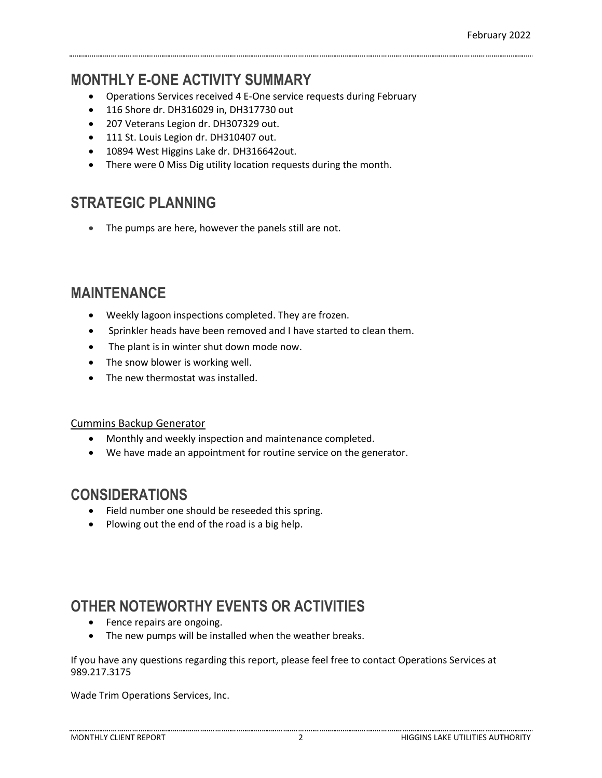## **MONTHLY E-ONE ACTIVITY SUMMARY**

- Operations Services received 4 E-One service requests during February
- 116 Shore dr. DH316029 in, DH317730 out
- 207 Veterans Legion dr. DH307329 out.
- 111 St. Louis Legion dr. DH310407 out.
- 10894 West Higgins Lake dr. DH316642out.
- There were 0 Miss Dig utility location requests during the month.

# **STRATEGIC PLANNING**

• The pumps are here, however the panels still are not.

#### **MAINTENANCE**

- Weekly lagoon inspections completed. They are frozen.
- Sprinkler heads have been removed and I have started to clean them.
- The plant is in winter shut down mode now.
- The snow blower is working well.
- The new thermostat was installed.

#### Cummins Backup Generator

- Monthly and weekly inspection and maintenance completed.
- We have made an appointment for routine service on the generator.

#### **CONSIDERATIONS**

- Field number one should be reseeded this spring.
- Plowing out the end of the road is a big help.

## **OTHER NOTEWORTHY EVENTS OR ACTIVITIES**

- Fence repairs are ongoing.
- The new pumps will be installed when the weather breaks.

If you have any questions regarding this report, please feel free to contact Operations Services at 989.217.3175

Wade Trim Operations Services, Inc.